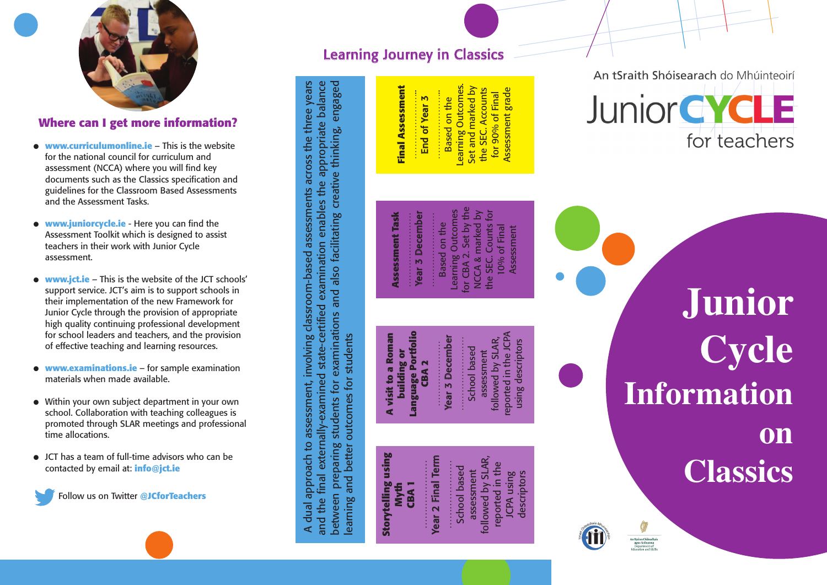

## Where can I get more information?

- **www.curriculumonline.ie** This is the website for the national council for curriculum and assessment (NCCA) where you will find key documents such as the Classics specification and guidelines for the Classroom Based Assessments a n d t h e A s s e s s m e n t Ta s k s .
- $\bullet$  **www.juniorcycle.ie** Here you can find the Assessment Toolkit which is designed to assist teachers in their work with Junior Cycle assessment.
- $\bullet$  **www.jct.ie** This is the website of the JCT schools' support service. JCT's aim is to support schools in their implementation of the new Framework for Junior Cycle through the provision of appropriate high quality continuing professional development for school leaders and teachers, and the provision of effective teaching and learning resources.
- **www.examinations.ie for sample examination** materials when made available.
- $\bullet$  Within your own subject department in your own school. Collaboration with teaching colleagues is promoted through SLAR meetings and professional time allocations.
- $\bullet$  JCT has a team of full-time advisors who can be contacted by email at: info@jct.ie



## Learning Journey in Classics

# **Final Assessment Final Assessment** …………………..

Learning Outcomes. earning Outcomes.<br>Set and marked by Set and marked by Assessment grade the SEC. Accounts the SEC. Accounts Assessment grade ………………….. for 90% of Final for 90% of Final End of Year 3 Based on the End of Year 3 Based on the

## An tSraith Shóisearach do Mhúinteoirí



## **Assessment Task** Year 3 December Year 3 December ……………………

**Assessment Task**

**A visit to a Roman building or Language Portfolio**

**A visit to a Roman** 

building or<br>anguage Portfolio

A dual approach to assessment, involving classroom-based assessments across the three years and the final externally-examined state-certified examination enables the appropriate balance between preparing students for examinations and also facilitating creative thinking, engaged

A dual approach to assessment, involving classroom-based assessments across the three years and the final externally-examined state-certified examination enables the appropriate balance between preparing students for examinations and also facilitating creative thinking, engaged

**Storytelling using** Storytelling using<br>Myth **CBA 1** ………………… Year 2 Final Term ………………… School based assessment followed by SLAR, reported in the JCPA using descriptors

learning and better outcomes for students

earning and better outcomes for students

Learning Outcomes<br>for CBA 2. Set by the for CBA 2. Set by the Learning Outcomes NCCA & marked by the SEC. Counts for NCCA & marked by the SEC. Counts for …………………… Based on the Based on the 10% of Final 10% of Final Assessment Assessment

### reported in the JCPA reported in the JCPA **Year 3 December** Year 3 December followed by SLAR, followed by SLAR, …………………… ………………… School based School based assessment ........... assessment **CBA 2**

Year 2 Final Term

. . . . . . . . . . . . . . . . **School based** assessment

ollowed by SLAR, reported in the

using descriptors using descriptors

**o n C l a s s i c s**

Information

**J u n i o r**

**C y c l e**